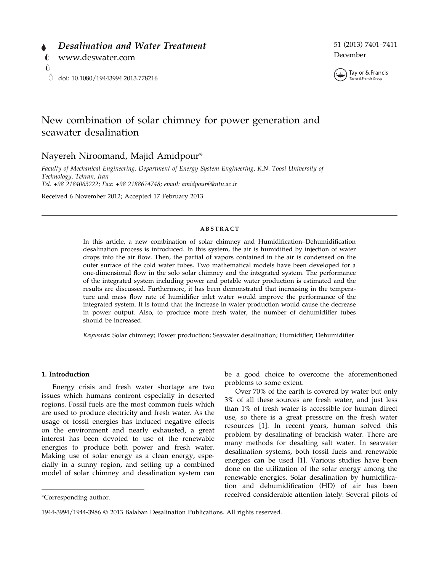

## 51 (2013) 7401–7411 December



# New combination of solar chimney for power generation and seawater desalination

## Nayereh Niroomand, Majid Amidpour\*

Faculty of Mechanical Engineering, Department of Energy System Engineering, K.N. Toosi University of Technology, Tehran, Iran Tel. +98 2184063222; Fax: +98 2188674748; email: amidpour@kntu.ac.ir

Received 6 November 2012; Accepted 17 February 2013

#### ABSTRACT

In this article, a new combination of solar chimney and Humidification–Dehumidification desalination process is introduced. In this system, the air is humidified by injection of water drops into the air flow. Then, the partial of vapors contained in the air is condensed on the outer surface of the cold water tubes. Two mathematical models have been developed for a one-dimensional flow in the solo solar chimney and the integrated system. The performance of the integrated system including power and potable water production is estimated and the results are discussed. Furthermore, it has been demonstrated that increasing in the temperature and mass flow rate of humidifier inlet water would improve the performance of the integrated system. It is found that the increase in water production would cause the decrease in power output. Also, to produce more fresh water, the number of dehumidifier tubes should be increased.

Keywords: Solar chimney; Power production; Seawater desalination; Humidifier; Dehumidifier

## 1. Introduction

Energy crisis and fresh water shortage are two issues which humans confront especially in deserted regions. Fossil fuels are the most common fuels which are used to produce electricity and fresh water. As the usage of fossil energies has induced negative effects on the environment and nearly exhausted, a great interest has been devoted to use of the renewable energies to produce both power and fresh water. Making use of solar energy as a clean energy, especially in a sunny region, and setting up a combined model of solar chimney and desalination system can

be a good choice to overcome the aforementioned problems to some extent.

Over 70% of the earth is covered by water but only 3% of all these sources are fresh water, and just less than 1% of fresh water is accessible for human direct use, so there is a great pressure on the fresh water resources [1]. In recent years, human solved this problem by desalinating of brackish water. There are many methods for desalting salt water. In seawater desalination systems, both fossil fuels and renewable energies can be used [1]. Various studies have been done on the utilization of the solar energy among the renewable energies. Solar desalination by humidification and dehumidification (HD) of air has been received considerable attention lately. Several pilots of \*Corresponding author.

<sup>1944-3994/1944-3986</sup> 2013 Balaban Desalination Publications. All rights reserved.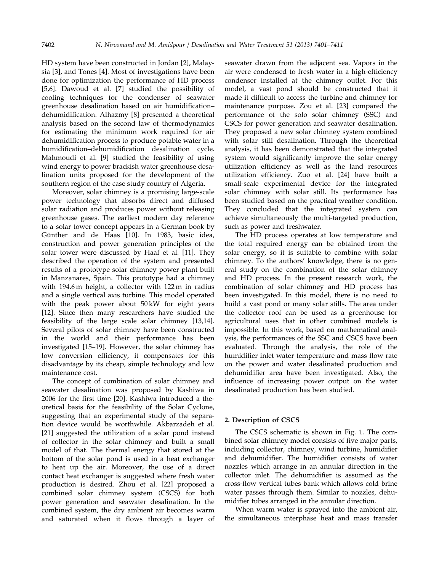HD system have been constructed in Jordan [2], Malaysia [3], and Tones [4]. Most of investigations have been done for optimization the performance of HD process [5,6]. Dawoud et al. [7] studied the possibility of cooling techniques for the condenser of seawater greenhouse desalination based on air humidification– dehumidification. Alhazmy [8] presented a theoretical analysis based on the second law of thermodynamics for estimating the minimum work required for air dehumidification process to produce potable water in a humidification–dehumidification desalination cycle. Mahmoudi et al. [9] studied the feasibility of using wind energy to power brackish water greenhouse desalination units proposed for the development of the southern region of the case study country of Algeria.

Moreover, solar chimney is a promising large-scale power technology that absorbs direct and diffused solar radiation and produces power without releasing greenhouse gases. The earliest modern day reference to a solar tower concept appears in a German book by Günther and de Haas [10]. In 1983, basic idea, construction and power generation principles of the solar tower were discussed by Haaf et al. [11]. They described the operation of the system and presented results of a prototype solar chimney power plant built in Manzanares, Spain. This prototype had a chimney with 194.6 m height, a collector with 122 m in radius and a single vertical axis turbine. This model operated with the peak power about 50 kW for eight years [12]. Since then many researchers have studied the feasibility of the large scale solar chimney [13,14]. Several pilots of solar chimney have been constructed in the world and their performance has been investigated [15–19]. However, the solar chimney has low conversion efficiency, it compensates for this disadvantage by its cheap, simple technology and low maintenance cost.

The concept of combination of solar chimney and seawater desalination was proposed by Kashiwa in 2006 for the first time [20]. Kashiwa introduced a theoretical basis for the feasibility of the Solar Cyclone, suggesting that an experimental study of the separation device would be worthwhile. Akbarzadeh et al. [21] suggested the utilization of a solar pond instead of collector in the solar chimney and built a small model of that. The thermal energy that stored at the bottom of the solar pond is used in a heat exchanger to heat up the air. Moreover, the use of a direct contact heat exchanger is suggested where fresh water production is desired. Zhou et al. [22] proposed a combined solar chimney system (CSCS) for both power generation and seawater desalination. In the combined system, the dry ambient air becomes warm and saturated when it flows through a layer of

seawater drawn from the adjacent sea. Vapors in the air were condensed to fresh water in a high-efficiency condenser installed at the chimney outlet. For this model, a vast pond should be constructed that it made it difficult to access the turbine and chimney for maintenance purpose. Zou et al. [23] compared the performance of the solo solar chimney (SSC) and CSCS for power generation and seawater desalination. They proposed a new solar chimney system combined with solar still desalination. Through the theoretical analysis, it has been demonstrated that the integrated system would significantly improve the solar energy utilization efficiency as well as the land resources utilization efficiency. Zuo et al. [24] have built a small-scale experimental device for the integrated solar chimney with solar still. Its performance has been studied based on the practical weather condition. They concluded that the integrated system can achieve simultaneously the multi-targeted production, such as power and freshwater.

The HD process operates at low temperature and the total required energy can be obtained from the solar energy, so it is suitable to combine with solar chimney. To the authors' knowledge, there is no general study on the combination of the solar chimney and HD process. In the present research work, the combination of solar chimney and HD process has been investigated. In this model, there is no need to build a vast pond or many solar stills. The area under the collector roof can be used as a greenhouse for agricultural uses that in other combined models is impossible. In this work, based on mathematical analysis, the performances of the SSC and CSCS have been evaluated. Through the analysis, the role of the humidifier inlet water temperature and mass flow rate on the power and water desalinated production and dehumidifier area have been investigated. Also, the influence of increasing power output on the water desalinated production has been studied.

## 2. Description of CSCS

The CSCS schematic is shown in Fig. 1. The combined solar chimney model consists of five major parts, including collector, chimney, wind turbine, humidifier and dehumidifier. The humidifier consists of water nozzles which arrange in an annular direction in the collector inlet. The dehumidifier is assumed as the cross-flow vertical tubes bank which allows cold brine water passes through them. Similar to nozzles, dehumidifier tubes arranged in the annular direction.

When warm water is sprayed into the ambient air, the simultaneous interphase heat and mass transfer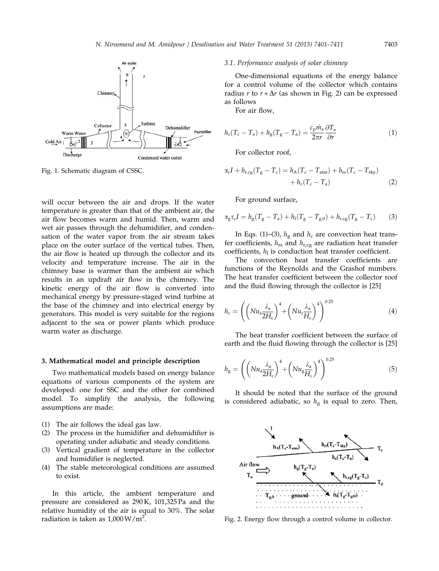

Fig. 1. Schematic diagram of CSSC.

will occur between the air and drops. If the water temperature is greater than that of the ambient air, the air flow becomes warm and humid. Then, warm and wet air passes through the dehumidifier, and condensation of the water vapor from the air stream takes place on the outer surface of the vertical tubes. Then, the air flow is heated up through the collector and its velocity and temperature increase. The air in the chimney base is warmer than the ambient air which results in an updraft air flow in the chimney. The kinetic energy of the air flow is converted into mechanical energy by pressure-staged wind turbine at the base of the chimney and into electrical energy by generators. This model is very suitable for the regions adjacent to the sea or power plants which produce warm water as discharge.

#### 3. Mathematical model and principle description

Two mathematical models based on energy balance equations of various components of the system are developed: one for SSC and the other for combined model. To simplify the analysis, the following assumptions are made:

- (1) The air follows the ideal gas law.
- (2) The process in the humidifier and dehumidifier is operating under adiabatic and steady conditions.
- (3) Vertical gradient of temperature in the collector and humidifier is neglected.
- (4) The stable meteorological conditions are assumed to exist.

In this article, the ambient temperature and pressure are considered as 290 K, 101,325 Pa and the relative humidity of the air is equal to 30%. The solar radiation is taken as  $1,000 \,\mathrm{W/m^2}$ .

#### 3.1. Performance analysis of solar chimney

One-dimensional equations of the energy balance for a control volume of the collector which contains radius  $r$  to  $r + \Delta r$  (as shown in Fig. 2) can be expressed as follows

For air flow,

$$
h_{\rm c}(T_{\rm c}-T_{\rm a})+h_{\rm g}(T_{\rm g}-T_{\rm a})=\frac{c_{\rm p}\dot{m}_{\rm a}}{2\pi r}\frac{\partial T_{\rm a}}{\partial r}\tag{1}
$$

For collector roof,

$$
\alpha_{\rm c}I + h_{\rm r,cg}(T_{\rm g} - T_{\rm c}) = h_{\rm A}(T_{\rm c} - T_{\rm atm}) + h_{\rm rs}(T_{\rm c} - T_{\rm sky})
$$

$$
+ h_{\rm c}(T_{\rm c} - T_{\rm a}) \tag{2}
$$

For ground surface,

$$
\alpha_g \tau_c I = h_g (T_g - T_a) + h_l (T_g - T_{g,0}) + h_{r,cg} (T_g - T_c) \tag{3}
$$

In Eqs. (1)–(3),  $h<sub>g</sub>$  and  $h<sub>c</sub>$  are convection heat transfer coefficients,  $h_{rs}$  and  $h_{r,cg}$  are radiation heat transfer coefficients,  $h_1$  is conduction heat transfer coefficient.

The convection heat transfer coefficients are functions of the Reynolds and the Grashof numbers. The heat transfer coefficient between the collector roof and the fluid flowing through the collector is [25]

$$
h_{\rm c} = \left( \left( Nu_{\rm a} \frac{\lambda_{\rm a}}{2H_{\rm c}} \right)^4 + \left( Nu_{\rm c} \frac{\lambda_{\rm a}}{H_{\rm c}} \right)^4 \right)^{0.25} \tag{4}
$$

The heat transfer coefficient between the surface of earth and the fluid flowing through the collector is [25]

$$
h_{\rm g} = \left( \left( N u_{\rm a} \frac{\lambda_{\rm a}}{2H_{\rm c}} \right)^4 + \left( N u_{\rm g} \frac{\lambda_{\rm a}}{H_{\rm c}} \right)^4 \right)^{0.25} \tag{5}
$$

It should be noted that the surface of the ground is considered adiabatic, so  $h<sub>g</sub>$  is equal to zero. Then,



Fig. 2. Energy flow through a control volume in collector.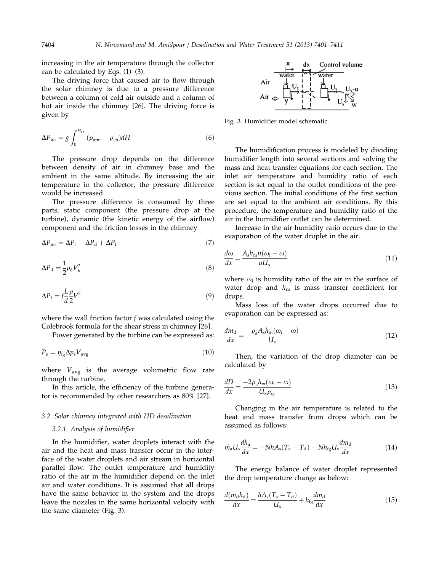increasing in the air temperature through the collector can be calculated by Eqs. (1)–(3).

The driving force that caused air to flow through the solar chimney is due to a pressure difference between a column of cold air outside and a column of hot air inside the chimney [26]. The driving force is given by

$$
\Delta P_{\text{tot}} = g \int_0^{H_{\text{ch}}} (\rho_{\text{atm}} - \rho_{\text{ch}}) dH \tag{6}
$$

The pressure drop depends on the difference between density of air in chimney base and the ambient in the same altitude. By increasing the air temperature in the collector, the pressure difference would be increased.

The pressure difference is consumed by three parts, static component (the pressure drop at the turbine), dynamic (the kinetic energy of the airflow) component and the friction losses in the chimney

$$
\Delta P_{\text{tot}} = \Delta P_{\text{s}} + \Delta P_{\text{d}} + \Delta P_{\text{f}} \tag{7}
$$

$$
\Delta P_{\rm d} = \frac{1}{2} \rho_6 V_6^2 \tag{8}
$$

$$
\Delta P_{\rm f} = f \frac{L}{d} \frac{\rho}{2} V^2 \tag{9}
$$

where the wall friction factor  $f$  was calculated using the Colebrook formula for the shear stress in chimney [26].

Power generated by the turbine can be expressed as:

$$
P_{\rm e} = \eta_{\rm tg} \Delta p_{\rm s} V_{\rm avg} \tag{10}
$$

where  $V_{\text{avg}}$  is the average volumetric flow rate through the turbine.

In this article, the efficiency of the turbine generator is recommended by other researchers as 80% [27].

#### 3.2. Solar chimney integrated with HD desalination

#### 3.2.1. Analysis of humidifier

In the humidifier, water droplets interact with the air and the heat and mass transfer occur in the interface of the water droplets and air stream in horizontal parallel flow. The outlet temperature and humidity ratio of the air in the humidifier depend on the inlet air and water conditions. It is assumed that all drops have the same behavior in the system and the drops leave the nozzles in the same horizontal velocity with the same diameter (Fig. 3).



Fig. 3. Humidifier model schematic.

The humidification process is modeled by dividing humidifier length into several sections and solving the mass and heat transfer equations for each section. The inlet air temperature and humidity ratio of each section is set equal to the outlet conditions of the previous section. The initial conditions of the first section are set equal to the ambient air conditions. By this procedure, the temperature and humidity ratio of the air in the humidifier outlet can be determined.

Increase in the air humidity ratio occurs due to the evaporation of the water droplet in the air.

$$
\frac{d\omega}{dx} = \frac{A_s h_m n(\omega_i - \omega)}{u U_x} \tag{11}
$$

where  $\omega_i$  is humidity ratio of the air in the surface of water drop and  $h_{\rm m}$  is mass transfer coefficient for drops.

Mass loss of the water drops occurred due to evaporation can be expressed as:

$$
\frac{dm_{\rm d}}{dx} = \frac{-\rho_{\rm a}A_{\rm s}h_{\rm m}(\omega_{\rm i}-\omega)}{U_{\rm x}}\tag{12}
$$

Then, the variation of the drop diameter can be calculated by

$$
\frac{dD}{dx} = \frac{-2\rho_a h_m(\omega_i - \omega)}{U_x \rho_w} \tag{13}
$$

Changing in the air temperature is related to the heat and mass transfer from drops which can be assumed as follows:

$$
\dot{m}_a U_x \frac{dh_a}{dx} = -NhA_s(T_a - T_d) - Nh_{fg} U_x \frac{dm_d}{dx} \tag{14}
$$

The energy balance of water droplet represented the drop temperature change as below:

$$
\frac{d(m_{\rm d}h_{\rm d})}{dx} = \frac{hA_{\rm s}(T_{\rm a} - T_{\rm d})}{U_{\rm x}} + h_{\rm fg}\frac{dm_{\rm d}}{dx}
$$
(15)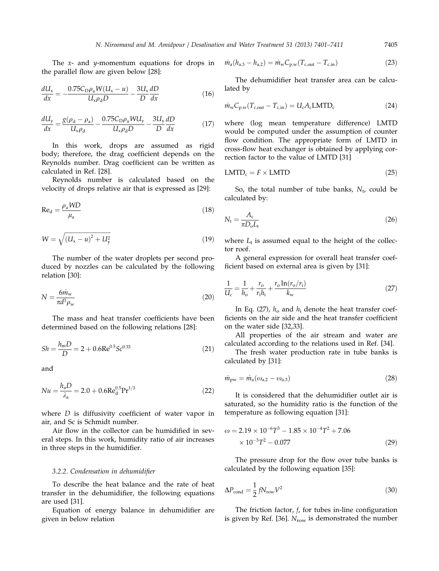The  $x$ - and  $y$ -momentum equations for drops in the parallel flow are given below [28]:

$$
\frac{dU_x}{dx} = \frac{0.75C_D\rho_a W(U_x - u)}{U_x\rho_d D} - \frac{3U_x}{D}\frac{dD}{dx}
$$
(16)

$$
\frac{dU_y}{dx} = \frac{g(\rho_d - \rho_a)}{U_x \rho_d} - \frac{0.75C_D \rho_a W U_y}{U_x \rho_d D} - \frac{3U_y}{D} \frac{dD}{dx}
$$
(17)

In this work, drops are assumed as rigid body; therefore, the drag coefficient depends on the Reynolds number. Drag coefficient can be written as calculated in Ref. [28].

Reynolds number is calculated based on the velocity of drops relative air that is expressed as [29]:

$$
Re_d = \frac{\rho_a W D}{\mu_a} \tag{18}
$$

$$
W = \sqrt{(U_x - u)^2 + U_y^2}
$$
 (19)

The number of the water droplets per second produced by nozzles can be calculated by the following relation [30]:

$$
N = \frac{6m_{\rm w}}{\pi d^3 \rho_{\rm w}}\tag{20}
$$

The mass and heat transfer coefficients have been determined based on the following relations [28]:

$$
Sh = \frac{h_{\rm m}D}{D} = 2 + 0.6 \text{Re}^{0.5} Sc^{0.33}
$$
 (21)

and

$$
Nu = \frac{h_a D}{\lambda_a} = 2.0 + 0.6 \text{Re}_d^{0.5} \text{Pr}^{1/3}
$$
 (22)

where D is diffusivity coefficient of water vapor in air, and Sc is Schmidt number.

Air flow in the collector can be humidified in several steps. In this work, humidity ratio of air increases in three steps in the humidifier.

#### 3.2.2. Condensation in dehumidifier

To describe the heat balance and the rate of heat transfer in the dehumidifier, the following equations are used [31].

Equation of energy balance in dehumidifier are given in below relation

$$
\dot{m}_a(h_{a,3} - h_{a,2}) = \dot{m}_w C_{p,w} (T_{c,out} - T_{c,in})
$$
\n(23)

The dehumidifier heat transfer area can be calculated by

$$
\dot{m}_{\rm w} C_{\rm p,w} (T_{\rm c,out} - T_{\rm c,in}) = U_{\rm c} A_{\rm c} \text{LMTD}_{\rm c}
$$
 (24)

where (log mean temperature difference) LMTD would be computed under the assumption of counter flow condition. The appropriate form of LMTD in cross-flow heat exchanger is obtained by applying correction factor to the value of LMTD [31]

$$
LMTD_c = F \times LMTD \tag{25}
$$

So, the total number of tube banks,  $N_t$ , could be calculated by:

$$
N_{\rm t} = \frac{A_{\rm c}}{\pi D_{\rm o} L_{\rm t}}\tag{26}
$$

where  $L_t$  is assumed equal to the height of the collector roof.

A general expression for overall heat transfer coefficient based on external area is given by [31]:

$$
\frac{1}{U_{\rm c}} = \frac{1}{h_{\rm o}} + \frac{r_{\rm o}}{r_{\rm i}h_{\rm i}} + \frac{r_{\rm o}\ln(r_{\rm o}/r_{\rm i})}{k_{\rm w}}\tag{27}
$$

In Eq. (27),  $h_0$  and  $h_i$  denote the heat transfer coefficients on the air side and the heat transfer coefficient on the water side [32,33].

All properties of the air stream and water are calculated according to the relations used in Ref. [34].

The fresh water production rate in tube banks is calculated by [31]:

$$
\dot{m}_{\rm pw} = \dot{m}_{\rm a} (\omega_{\rm a,2} - \omega_{\rm a,3}) \tag{28}
$$

It is considered that the dehumidifier outlet air is saturated, so the humidity ratio is the function of the temperature as following equation [31]:

$$
\omega = 2.19 \times 10^{-6} T^3 - 1.85 \times 10^{-4} T^2 + 7.06
$$
  
× 10<sup>-3</sup>T<sup>2</sup> - 0.077 (29)

The pressure drop for the flow over tube banks is calculated by the following equation [35]:

$$
\Delta P_{\text{cond}} = \frac{1}{2} f N_{\text{row}} V^2 \tag{30}
$$

The friction factor,  $f$ , for tubes in-line configuration is given by Ref. [36].  $N_{\text{row}}$  is demonstrated the number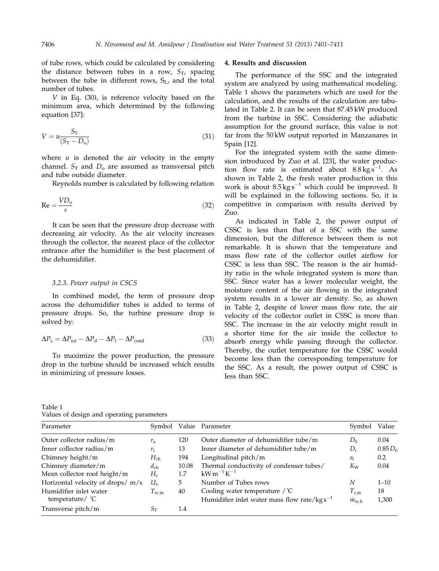of tube rows, which could be calculated by considering the distance between tubes in a row,  $S_T$ , spacing between the tube in different rows,  $S_L$ , and the total number of tubes.

V in Eq. (30), is reference velocity based on the minimum area, which determined by the following equation [37]:

$$
V = u \frac{S_{\rm T}}{(S_{\rm T} - D_{\rm o})} \tag{31}
$$

where  $u$  is denoted the air velocity in the empty channel.  $S_T$  and  $D_0$  are assumed as transversal pitch and tube outside diameter.

Reynolds number is calculated by following relation

$$
Re = \frac{VD_o}{v}
$$
 (32)

It can be seen that the pressure drop decrease with decreasing air velocity. As the air velocity increases through the collector, the nearest place of the collector entrance after the humidifier is the best placement of the dehumidifier.

#### 3.2.3. Power output in CSCS

In combined model, the term of pressure drop across the dehumidifier tubes is added to terms of pressure drops. So, the turbine pressure drop is solved by:

$$
\Delta P_{\rm s} = \Delta P_{\rm tot} - \Delta P_{\rm d} - \Delta P_{\rm f} - \Delta P_{\rm cond} \tag{33}
$$

To maximize the power production, the pressure drop in the turbine should be increased which results in minimizing of pressure losses.

#### 4. Results and discussion

The performance of the SSC and the integrated system are analyzed by using mathematical modeling. Table 1 shows the parameters which are used for the calculation, and the results of the calculation are tabulated in Table 2. It can be seen that 87.45 kW produced from the turbine in SSC. Considering the adiabatic assumption for the ground surface, this value is not far from the 50 kW output reported in Manzanares in Spain [12].

For the integrated system with the same dimension introduced by Zuo et al. [23], the water production flow rate is estimated about  $8.8 \text{ kg s}^{-1}$ . As shown in Table 2, the fresh water production in this work is about  $8.5 \text{kg s}^{-1}$  which could be improved. It will be explained in the following sections. So, it is competitive in comparison with results derived by Zuo.

As indicated in Table 2, the power output of CSSC is less than that of a SSC with the same dimension, but the difference between them is not remarkable. It is shown that the temperature and mass flow rate of the collector outlet airflow for CSSC is less than SSC. The reason is the air humidity ratio in the whole integrated system is more than SSC. Since water has a lower molecular weight, the moisture content of the air flowing in the integrated system results in a lower air density. So, as shown in Table 2, despite of lower mass flow rate, the air velocity of the collector outlet in CSSC is more than SSC. The increase in the air velocity might result in a shorter time for the air inside the collector to absorb energy while passing through the collector. Thereby, the outlet temperature for the CSSC would become less than the corresponding temperature for the SSC. As a result, the power output of CSSC is less than SSC.

| Table 1 |  |                                           |
|---------|--|-------------------------------------------|
|         |  | Values of design and operating parameters |

| Parameter                                           | Symbol            |              | Value Parameter                                                                            | Symbol                                | Value       |
|-----------------------------------------------------|-------------------|--------------|--------------------------------------------------------------------------------------------|---------------------------------------|-------------|
| Outer collector radius/m                            | $r_{\rm a}$       | 120          | Outer diameter of dehumidifier tube/m                                                      | $D_0$                                 | 0.04        |
| Inner collector radius/ $m$                         | $r_{\rm i}$       | 13           | Inner diameter of dehumidifier tube/m                                                      | $D_i$                                 | $0.85 D_0$  |
| Chimney height/m                                    | $H_{ch}$          | 194          | Longitudinal pitch/m                                                                       | S <sub>1</sub>                        | 0.2         |
| Chimney diameter/m<br>Mean collector roof height/m  | $d_{ch}$<br>$H_c$ | 10.08<br>1.7 | Thermal conductivity of condenser tubes/<br>$kWm^{-1}K^{-1}$                               | $K_W$                                 | 0.04        |
| Horizontal velocity of drops/ $m/s$                 | $U_{\rm x}$       | 5.           | Number of Tubes rows                                                                       | N                                     | $1 - 10$    |
| Humidifier inlet water<br>temperature/ $^{\circ}$ C | $T_{\text{w,in}}$ | 40           | Cooling water temperature $\sqrt{C}$<br>Humidifier inlet water mass flow rate/ $kg s^{-1}$ | $T_{\rm c,in}$<br>$\dot{m}_{\rm w,h}$ | 18<br>1,300 |
| Transverse pitch/m                                  | $S_{\mathrm{T}}$  | 1.4          |                                                                                            |                                       |             |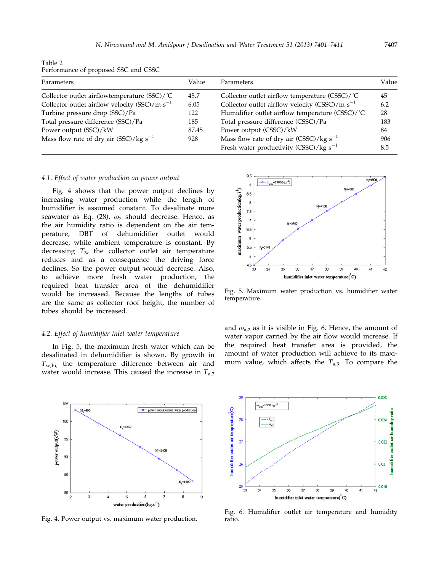Table 2 Performance of proposed SSC and CSSC

| Parameters                                            | Value | Parameters                                          | Value |
|-------------------------------------------------------|-------|-----------------------------------------------------|-------|
| Collector outlet airflowtemperature $(SSC)/^{\circ}C$ | 45.7  | Collector outlet airflow temperature $(CSSC)/C$     | 45    |
| Collector outlet airflow velocity (SSC)/m $s^{-1}$    | 6.05  | Collector outlet airflow velocity (CSSC)/m $s^{-1}$ | 6.2   |
| Turbine pressure drop (SSC)/Pa                        | 122   | Humidifier outlet airflow temperature (CSSC)/℃      | 28    |
| Total pressure difference (SSC)/Pa                    | 185   | Total pressure difference (CSSC)/Pa                 | 183   |
| Power output (SSC)/kW                                 | 87.45 | Power output (CSSC)/kW                              | 84    |
| Mass flow rate of dry air $(SSC)/kg s^{-1}$           | 928   | Mass flow rate of dry air $(CSSC)/kg s^{-1}$        | 906   |
|                                                       |       | Fresh water productivity (CSSC)/kg $s^{-1}$         | 8.5   |
|                                                       |       |                                                     |       |

#### 4.1. Effect of water production on power output

Fig. 4 shows that the power output declines by increasing water production while the length of humidifier is assumed constant. To desalinate more seawater as Eq. (28),  $\omega_3$  should decrease. Hence, as the air humidity ratio is dependent on the air temperature, DBT of dehumidifier outlet would decrease, while ambient temperature is constant. By decreasing  $T_3$ , the collector outlet air temperature reduces and as a consequence the driving force declines. So the power output would decrease. Also, to achieve more fresh water production, the required heat transfer area of the dehumidifier would be increased. Because the lengths of tubes are the same as collector roof height, the number of tubes should be increased.

#### 4.2. Effect of humidifier inlet water temperature

In Fig. 5, the maximum fresh water which can be desalinated in dehumidifier is shown. By growth in  $T_{\text{w,hi}}$ , the temperature difference between air and water would increase. This caused the increase in  $T_{a,2}$ 



Fig. 4. Power output vs. maximum water production.



Fig. 5. Maximum water production vs. humidifier water temperature.

and  $\omega_{a,2}$  as it is visible in Fig. 6. Hence, the amount of water vapor carried by the air flow would increase. If the required heat transfer area is provided, the amount of water production will achieve to its maximum value, which affects the  $T_{a,3}$ . To compare the



Fig. 6. Humidifier outlet air temperature and humidity ratio.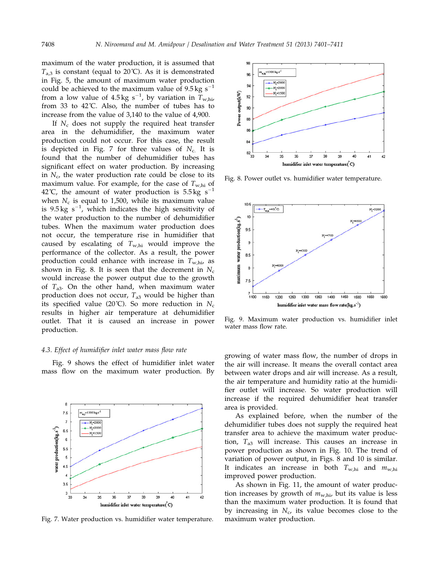maximum of the water production, it is assumed that  $T_{a,3}$  is constant (equal to 20°C). As it is demonstrated in Fig. 5, the amount of maximum water production could be achieved to the maximum value of  $9.5 \text{ kg s}^{-1}$ from a low value of 4.5 kg s<sup>-1</sup>, by variation in  $T_{\mathrm{w,hi}}$ from 33 to 42˚C. Also, the number of tubes has to increase from the value of 3,140 to the value of 4,900.

If  $N_c$  does not supply the required heat transfer area in the dehumidifier, the maximum water production could not occur. For this case, the result is depicted in Fig. 7 for three values of  $N_c$ . It is found that the number of dehumidifier tubes has significant effect on water production. By increasing in  $N_c$ , the water production rate could be close to its maximum value. For example, for the case of  $T_{\text{w,hi}}$  of 42°C, the amount of water production is  $5.5 \text{ kg s}^{-1}$ when  $N_c$  is equal to 1,500, while its maximum value is 9.5 kg  $s^{-1}$ , which indicates the high sensitivity of the water production to the number of dehumidifier tubes. When the maximum water production does not occur, the temperature rise in humidifier that caused by escalating of  $T_{\text{w,hi}}$  would improve the performance of the collector. As a result, the power production could enhance with increase in  $T_{\text{w,hi}}$  as shown in Fig. 8. It is seen that the decrement in  $N_c$ would increase the power output due to the growth of  $T_{a3}$ . On the other hand, when maximum water production does not occur,  $T_{a3}$  would be higher than its specified value (20°C). So more reduction in  $N_c$ results in higher air temperature at dehumidifier outlet. That it is caused an increase in power production.

#### 4.3. Effect of humidifier inlet water mass flow rate

Fig. 9 shows the effect of humidifier inlet water mass flow on the maximum water production. By



Fig. 7. Water production vs. humidifier water temperature. maximum water production.



Fig. 8. Power outlet vs. humidifier water temperature.



Fig. 9. Maximum water production vs. humidifier inlet water mass flow rate.

growing of water mass flow, the number of drops in the air will increase. It means the overall contact area between water drops and air will increase. As a result, the air temperature and humidity ratio at the humidifier outlet will increase. So water production will increase if the required dehumidifier heat transfer area is provided.

As explained before, when the number of the dehumidifier tubes does not supply the required heat transfer area to achieve the maximum water production,  $T_{a3}$  will increase. This causes an increase in power production as shown in Fig. 10. The trend of variation of power output, in Figs. 8 and 10 is similar. It indicates an increase in both  $T_{\text{w,hi}}$  and  $m_{\text{w,hi}}$ improved power production.

As shown in Fig. 11, the amount of water production increases by growth of  $m_{\text{w,hi}}$ , but its value is less than the maximum water production. It is found that by increasing in  $N_c$ , its value becomes close to the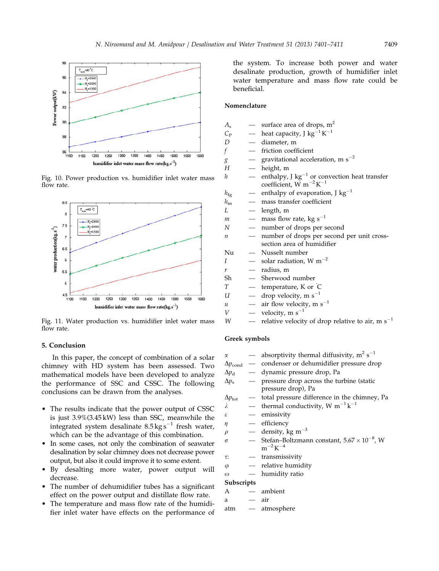

Fig. 10. Power production vs. humidifier inlet water mass flow rate.



Fig. 11. Water production vs. humidifier inlet water mass flow rate.

## 5. Conclusion

In this paper, the concept of combination of a solar chimney with HD system has been assessed. Two mathematical models have been developed to analyze the performance of SSC and CSSC. The following conclusions can be drawn from the analyses.

- The results indicate that the power output of CSSC is just 3.9%(3.45 kW) less than SSC, meanwhile the integrated system desalinate  $8.5 \text{ kg s}^{-1}$  fresh water, which can be the advantage of this combination.
- In some cases, not only the combination of seawater desalination by solar chimney does not decrease power output, but also it could improve it to some extent.
- By desalting more water, power output will decrease.
- The number of dehumidifier tubes has a significant effect on the power output and distillate flow rate.
- The temperature and mass flow rate of the humidifier inlet water have effects on the performance of

the system. To increase both power and water desalinate production, growth of humidifier inlet water temperature and mass flow rate could be beneficial.

## Nomenclature

- $A<sub>s</sub>$  surface area of drops, m<sup>2</sup>
- $C_{\rm P}$  heat capacity, J kg<sup>-1</sup> K<sup>-1</sup>
- $D$  diameter, m
- f friction coefficient
- $g$   $\qquad$   $\qquad$  gravitational acceleration, m s<sup>-2</sup>
- $H$  height, m
- $h$   $-$  enthalpy, J kg<sup>-1</sup> or convection heat transfer coefficient,  $\overline{W}$  m<sup>-2</sup>K<sup>-1</sup>
- $h_{\text{fg}} \quad \quad$  enthalpy of evaporation, J kg<sup>-1</sup>
- $h_m$  mass transfer coefficient
- $L$  length, m
- $m$   $\qquad$  mass flow rate, kg s<sup>-1</sup>
- N number of drops per second
- $n$  number of drops per second per unit crosssection area of humidifier
- Nu Nusselt number
- $I \longrightarrow$  solar radiation, W m<sup>-2</sup>
- $r =$  radius, m
- Sh Sherwood number
- $T \longrightarrow$  temperature, K or  $\hat{C}$
- $U =$  drop velocity, m s<sup>-1</sup>
- $u$  air flow velocity, m s<sup>-1</sup>
- $V$  velocity, m s<sup>-1</sup>
- $W$  relative velocity of drop relative to air, m s<sup>-1</sup>

#### Greek symbols

|                      | — absorptivity thermal diffusivity, $m^2 s^{-1}$                         |
|----------------------|--------------------------------------------------------------------------|
|                      | $\Delta p_{\text{cond}}$ - condenser or dehumidifier pressure drop       |
| $\Delta p_{\rm d}$ — | dynamic pressure drop, Pa                                                |
|                      | - pressure drop across the turbine (static                               |
|                      | pressure drop), Pa                                                       |
| $\Delta p_{\rm tot}$ | - total pressure difference in the chimney, Pa                           |
|                      | — thermal conductivity, W $m^{-1}k^{-1}$                                 |
|                      | — emissivity                                                             |
|                      | - efficiency                                                             |
|                      | — density, kg m <sup>-3</sup>                                            |
|                      | — Stefan-Boltzmann constant, $5.67 \times 10^{-8}$ , W<br>$m^{-2}K^{-4}$ |
|                      | — transmissivity                                                         |
|                      | — relative humidity                                                      |
|                      | — humidity ratio                                                         |
| Subscripts           |                                                                          |
|                      | — ambient                                                                |
|                      |                                                                          |
|                      | — atmosphere                                                             |
|                      | $-$ air                                                                  |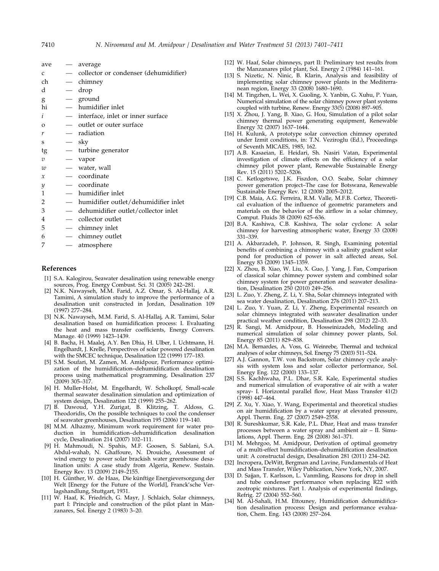| ave            |                          | average                               |
|----------------|--------------------------|---------------------------------------|
| $\mathcal{C}$  |                          | collector or condenser (dehumidifier) |
| ch             |                          | chimney                               |
| d              |                          | drop                                  |
| g              | $\overline{\phantom{0}}$ | ground                                |
| hi             |                          | - humidifier inlet                    |
| i              | $\qquad \qquad -$        | interface, inlet or inner surface     |
| $\Omega$       |                          | outlet or outer surface               |
| r              |                          | radiation                             |
| S              |                          | — sky                                 |
| tg             |                          | — turbine generator                   |
| $\overline{v}$ |                          | — vapor                               |
| w              | $\overline{\phantom{0}}$ | water, wall                           |
| $\mathcal{X}$  |                          | coordinate                            |
| y              |                          | - coordinate                          |
| 1              |                          | humidifier inlet                      |
| 2              |                          | humidifier outlet/dehumidifier inlet  |
| 3              |                          | dehumidifier outlet/collector inlet   |
| 4              |                          | collector outlet                      |
| 5              | $\overline{\phantom{0}}$ | chimney inlet                         |
| 6              |                          | chimney outlet                        |
|                |                          |                                       |

7 — atmosphere

#### References

- [1] S.A. Kalogirou, Seawater desalination using renewable energy sources, Prog. Energy Combust. Sci. 31 (2005) 242–281.
- N.K. Nawayseh, M.M. Farid, A.Z. Omar, S. Al-Hallaj, A.R. Tamimi, A simulation study to improve the performance of a desalination unit constructed in Jordan, Desalination 109 (1997) 277–284.
- [3] N.K. Nawayseh, M.M. Farid, S. Al-Hallaj, A.R. Tamimi, Solar desalination based on humidification process: I. Evaluating the heat and mass transfer coefficients, Energy Convers. Manage. 40 (1999) 1423–1439.
- [4] B. Bacha, H. Maalej, A.Y. Ben Dhia, H. Ulber, I. Uchtmann, H. Engelhardt, J. Krelle, Perspectives of solar powered desalination with the SMCEC technique, Desalination 122 (1999) 177–183.
- [5] S.M. Soufari, M. Zamen, M. Amidpour, Performance optimization of the humidification–dehumidification desalination process using mathematical programming, Desalination 237 (2009) 305–317.
- [6] H. Muller-Holst, M. Engelhardt, W. Scholkopf, Small-scale thermal seawater desalination simulation and optimization of system design, Desalination 122 (1999) 255–262.
- [7] B. Dawoud, Y.H. Zurigat, B. Klitzing, T. Aldoss, G. Theodoridis, On the possible techniques to cool the condenser of seawater greenhouses, Desalination 195 (2006) 119–140.
- [8] M.M. Alhazmy, Minimum work requirement for water production in humidification–dehumidification desalination cycle, Desalination 214 (2007) 102–111.
- [9] H. Mahmoudi, N. Spahis, M.F. Goosen, S. Sablani, S.A. Abdul-wahab, N. Ghaffoure, N. Drouiche, Assessment of wind energy to power solar brackish water greenhouse desalination units: A case study from Algeria, Renew. Sustain. Energy Rev. 13 (2009) 2149–2155.
- [10] H. Günther, W. de Haas, Die künftige Energieversorgung der Welt [Energy for the Future of the World], Franck'sche Verlagshandlung, Stuttgart, 1931.
- [11] W. Haaf, K. Friedrich, G. Mayr, J. Schlaich, Solar chimneys, part I: Principle and construction of the pilot plant in Manzanares, Sol. Energy 2 (1983) 3–20.
- [12] W. Haaf, Solar chimneys, part II: Preliminary test results from the Manzanares pilot plant, Sol. Energy 2 (1984) 141–161.
- [13] S. Nizetic, N. Ninic, B. Klarin, Analysis and feasibility of implementing solar chimney power plants in the Mediterranean region, Energy 33 (2008) 1680–1690.
- [14] M. Tingzhen, L. Wei, X. Guoling, X. Yanbin, G. Xuhu, P. Yuan, Numerical simulation of the solar chimney power plant systems coupled with turbine, Renew. Energy 33(5) (2008) 897–905.
- [15] X. Zhou, J. Yang, B. Xiao, G. Hou, Simulation of a pilot solar chimney thermal power generating equipment, Renewable Energy 32 (2007) 1637–1644.
- [16] H. Kulunk, A prototype solar convection chimney operated under Izmit conditions, in: T.N. Veziroglu (Ed.), Proceedings of Seventh MICAES, 1985, 162.
- [17] A.B. Kasaeian, E. Heidari, Sh. Nasiri Vatan, Experimental investigation of climate effects on the efficiency of a solar chimney pilot power plant, Renewable Sustainable Energy Rev. 15 (2011) 5202–5206.
- [18] C. Ketlogetswe, J.K. Fiszdon, O.O. Seabe, Solar chimney power generation project–The case for Botswana, Renewable Sustainable Energy Rev. 12 (2008) 2005–2012.
- [19] C.B. Maia, A.G. Ferreira, R.M. Valle, M.F.B. Cortez, Theoretical evaluation of the influence of geometric parameters and materials on the behavior of the airflow in a solar chimney, Comput. Fluids 38 (2009) 625–636.
- [20] B.A. Kashiwa, C.B. Kashiwa, The solar cyclone: A solar chimney for harvesting atmospheric water, Energy 33 (2008) 331–339.
- [21] A. Akbarzadeh, P. Johnson, R. Singh, Examining potential benefits of combining a chimney with a salinity gradient solar pond for production of power in salt affected areas, Sol. Energy 83 (2009) 1345–1359.
- [22] X. Zhou, B. Xiao, W. Liu, X. Guo, J. Yang, J. Fan, Comparison of classical solar chimney power system and combined solar chimney system for power generation and seawater desalination, Desalination 250 (2010) 249–256.
- [23] L. Zuo, Y. Zheng, Z. Li, Y. Sha, Solar chimneys integrated with sea water desalination, Desalination 276 (2011) 207–213.
- [24] L. Zuo, Y. Yuan, Z. Li, Y. Zheng, Experimental research on solar chimneys integrated with seawater desalination under practical weather condition, Desalination 298 (2012) 22–33.
- [25] R. Sangi, M. Amidpour, B. Hosseinizadeh, Modeling and numerical simulation of solar chimney power plants, Sol. Energy 85 (2011) 829–838.
- [26] M.A. Bernardes, A. Voss, G. Weinrebe, Thermal and technical analyses of solar chimneys, Sol. Energy 75 (2003) 511–524.
- [27] A.J. Gannon, T.W. von Backstrom, Solar chimney cycle analysis with system loss and solar collector performance, Sol. Energy Eng. 122 (2000) 133–137.
- [28] S.S. Kachhwaha, P.L. Dhar, S.R. Kale, Experimental studies and numerical simulation of evaporative of air with a water spray- I. Horizontal parallel flow, Heat Mass Transfer 41(2) (1998) 447–464.
- [29] Z. Xu, Y. Xiao, Y. Wang, Experimental and theoretical studies on air humidification by a water spray at elevated pressure, Appl. Therm. Eng. 27 (2007) 2549-2558.
- [30] R. Sureshkumar, S.R. Kale, P.L. Dhar, Heat and mass transfer processes between a water spray and ambient air – II. Simulations, Appl. Therm. Eng. 28 (2008) 361–371.
- [31] M. Mehrgoo, M. Amidpour, Derivation of optimal geometry of a multi-effect humidification–dehumidification desalination unit: A constructal design, Desalination 281 (2011) 234–242.
- [32] Incropera, DeWitt, Bergman and Lavine, Fundamentals of Heat and Mass Transfer, Wiley Publication, New York, NY, 2007.
- [33] D. Sajjan, T. Karlsson, L. Vanmling, Reasons for drop in shell and tube condenser performance when replacing R22 with zeotropic mixtures. Part 1. Analysis of experimental findings, Refrig. 27 (2004) 552–560.
- [34] M. Al-Sahali, H.M. Ettouney, Humidification dehumidification desalination process: Design and performance evaluation, Chem. Eng. 143 (2008) 257–264.